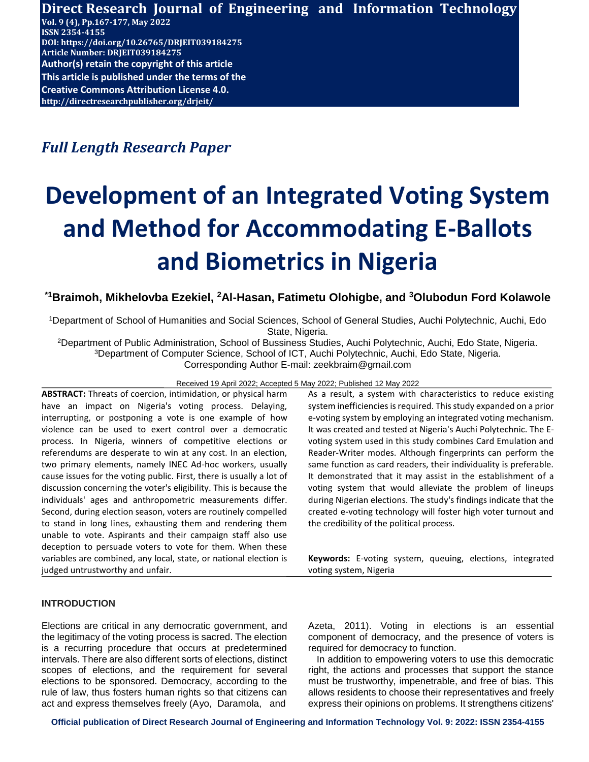**Direct Research Journal of Engineering and Information Technology Vol. 9 (4), Pp.167-177, May 2022 ISSN 2354-4155 DOI: https://doi.org/10.26765/DRJEIT039184275 Article Number: DRJEIT039184275 Author(s) retain the copyright of this article This article is published under the terms of the [Creative Commons Attribution License 4.0.](https://creativecommons.org/licenses/by/4.0/) http://directresearchpublisher.org/drjeit/**

*Full Length Research Paper*

# **Development of an Integrated Voting System and Method for Accommodating E-Ballots and Biometrics in Nigeria**

# **\*1Braimoh, Mikhelovba Ezekiel, <sup>2</sup>Al-Hasan, Fatimetu Olohigbe, and <sup>3</sup>Olubodun Ford Kolawole**

<sup>1</sup>Department of School of Humanities and Social Sciences, School of General Studies, Auchi Polytechnic, Auchi, Edo State, Nigeria.

<sup>2</sup>Department of Public Administration, School of Bussiness Studies, Auchi Polytechnic, Auchi, Edo State, Nigeria. <sup>3</sup>Department of Computer Science, School of ICT, Auchi Polytechnic, Auchi, Edo State, Nigeria. Corresponding Author E-mail: zeekbraim@gmail.com

Received 19 April 2022; Accepted 5 May 2022; Published 12 May 2022

**ABSTRACT:** Threats of coercion, intimidation, or physical harm have an impact on Nigeria's voting process. Delaying, interrupting, or postponing a vote is one example of how violence can be used to exert control over a democratic process. In Nigeria, winners of competitive elections or referendums are desperate to win at any cost. In an election, two primary elements, namely INEC Ad-hoc workers, usually cause issues for the voting public. First, there is usually a lot of discussion concerning the voter's eligibility. This is because the individuals' ages and anthropometric measurements differ. Second, during election season, voters are routinely compelled to stand in long lines, exhausting them and rendering them unable to vote. Aspirants and their campaign staff also use deception to persuade voters to vote for them. When these variables are combined, any local, state, or national election is judged untrustworthy and unfair.

As a result, a system with characteristics to reduce existing system inefficiencies is required. This study expanded on a prior e-voting system by employing an integrated voting mechanism. It was created and tested at Nigeria's Auchi Polytechnic. The Evoting system used in this study combines Card Emulation and Reader-Writer modes. Although fingerprints can perform the same function as card readers, their individuality is preferable. It demonstrated that it may assist in the establishment of a voting system that would alleviate the problem of lineups during Nigerian elections. The study's findings indicate that the created e-voting technology will foster high voter turnout and the credibility of the political process.

**Keywords:** E-voting system, queuing, elections, integrated voting system, Nigeria

# **INTRODUCTION**

Elections are critical in any democratic government, and the legitimacy of the voting process is sacred. The election is a recurring procedure that occurs at predetermined intervals. There are also different sorts of elections, distinct scopes of elections, and the requirement for several elections to be sponsored. Democracy, according to the rule of law, thus fosters human rights so that citizens can act and express themselves freely (Ayo, Daramola, and

Azeta, 2011). Voting in elections is an essential component of democracy, and the presence of voters is required for democracy to function.

In addition to empowering voters to use this democratic right, the actions and processes that support the stance must be trustworthy, impenetrable, and free of bias. This allows residents to choose their representatives and freely express their opinions on problems. It strengthens citizens'

**Official publication of Direct Research Journal of Engineering and Information Technology Vol. 9: 2022: ISSN 2354-4155**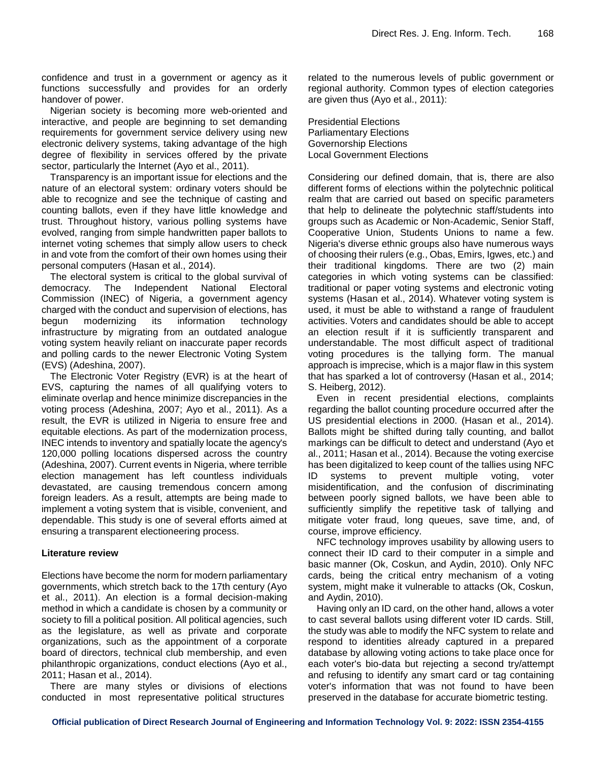confidence and trust in a government or agency as it functions successfully and provides for an orderly handover of power.

Nigerian society is becoming more web-oriented and interactive, and people are beginning to set demanding requirements for government service delivery using new electronic delivery systems, taking advantage of the high degree of flexibility in services offered by the private sector, particularly the Internet (Ayo et al., 2011).

Transparency is an important issue for elections and the nature of an electoral system: ordinary voters should be able to recognize and see the technique of casting and counting ballots, even if they have little knowledge and trust. Throughout history, various polling systems have evolved, ranging from simple handwritten paper ballots to internet voting schemes that simply allow users to check in and vote from the comfort of their own homes using their personal computers (Hasan et al., 2014).

The electoral system is critical to the global survival of democracy. The Independent National Electoral Commission (INEC) of Nigeria, a government agency charged with the conduct and supervision of elections, has begun modernizing its information technology infrastructure by migrating from an outdated analogue voting system heavily reliant on inaccurate paper records and polling cards to the newer Electronic Voting System (EVS) (Adeshina, 2007).

The Electronic Voter Registry (EVR) is at the heart of EVS, capturing the names of all qualifying voters to eliminate overlap and hence minimize discrepancies in the voting process (Adeshina, 2007; Ayo et al., 2011). As a result, the EVR is utilized in Nigeria to ensure free and equitable elections. As part of the modernization process, INEC intends to inventory and spatially locate the agency's 120,000 polling locations dispersed across the country (Adeshina, 2007). Current events in Nigeria, where terrible election management has left countless individuals devastated, are causing tremendous concern among foreign leaders. As a result, attempts are being made to implement a voting system that is visible, convenient, and dependable. This study is one of several efforts aimed at ensuring a transparent electioneering process.

## **Literature review**

Elections have become the norm for modern parliamentary governments, which stretch back to the 17th century (Ayo et al., 2011). An election is a formal decision-making method in which a candidate is chosen by a community or society to fill a political position. All political agencies, such as the legislature, as well as private and corporate organizations, such as the appointment of a corporate board of directors, technical club membership, and even philanthropic organizations, conduct elections (Ayo et al., 2011; Hasan et al., 2014).

There are many styles or divisions of elections conducted in most representative political structures

related to the numerous levels of public government or regional authority. Common types of election categories are given thus (Ayo et al., 2011):

Presidential Elections Parliamentary Elections Governorship Elections Local Government Elections

Considering our defined domain, that is, there are also different forms of elections within the polytechnic political realm that are carried out based on specific parameters that help to delineate the polytechnic staff/students into groups such as Academic or Non-Academic, Senior Staff, Cooperative Union, Students Unions to name a few. Nigeria's diverse ethnic groups also have numerous ways of choosing their rulers (e.g., Obas, Emirs, Igwes, etc.) and their traditional kingdoms. There are two (2) main categories in which voting systems can be classified: traditional or paper voting systems and electronic voting systems (Hasan et al., 2014). Whatever voting system is used, it must be able to withstand a range of fraudulent activities. Voters and candidates should be able to accept an election result if it is sufficiently transparent and understandable. The most difficult aspect of traditional voting procedures is the tallying form. The manual approach is imprecise, which is a major flaw in this system that has sparked a lot of controversy (Hasan et al., 2014; S. Heiberg, 2012).

Even in recent presidential elections, complaints regarding the ballot counting procedure occurred after the US presidential elections in 2000. (Hasan et al., 2014). Ballots might be shifted during tally counting, and ballot markings can be difficult to detect and understand (Ayo et al., 2011; Hasan et al., 2014). Because the voting exercise has been digitalized to keep count of the tallies using NFC ID systems to prevent multiple voting, voter misidentification, and the confusion of discriminating between poorly signed ballots, we have been able to sufficiently simplify the repetitive task of tallying and mitigate voter fraud, long queues, save time, and, of course, improve efficiency.

NFC technology improves usability by allowing users to connect their ID card to their computer in a simple and basic manner (Ok, Coskun, and Aydin, 2010). Only NFC cards, being the critical entry mechanism of a voting system, might make it vulnerable to attacks (Ok, Coskun, and Aydin, 2010).

Having only an ID card, on the other hand, allows a voter to cast several ballots using different voter ID cards. Still, the study was able to modify the NFC system to relate and respond to identities already captured in a prepared database by allowing voting actions to take place once for each voter's bio-data but rejecting a second try/attempt and refusing to identify any smart card or tag containing voter's information that was not found to have been preserved in the database for accurate biometric testing.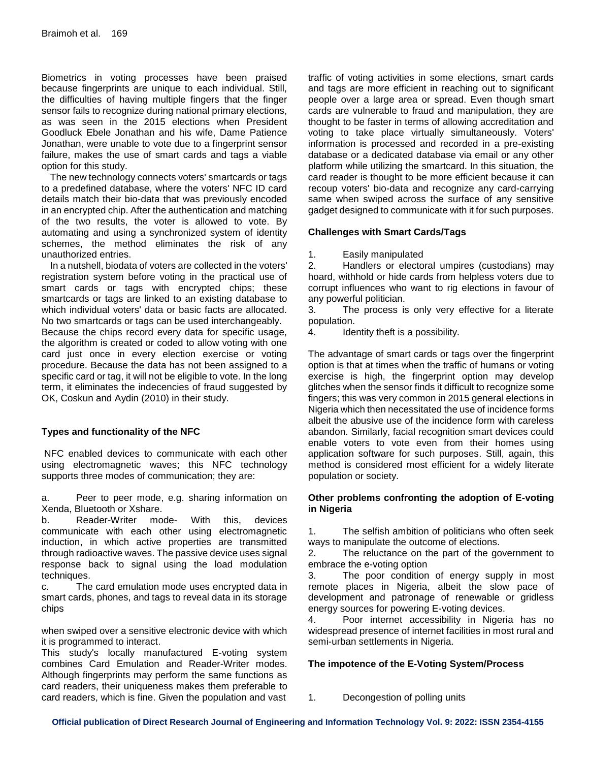Biometrics in voting processes have been praised because fingerprints are unique to each individual. Still, the difficulties of having multiple fingers that the finger sensor fails to recognize during national primary elections, as was seen in the 2015 elections when President Goodluck Ebele Jonathan and his wife, Dame Patience Jonathan, were unable to vote due to a fingerprint sensor failure, makes the use of smart cards and tags a viable option for this study.

The new technology connects voters' smartcards or tags to a predefined database, where the voters' NFC ID card details match their bio-data that was previously encoded in an encrypted chip. After the authentication and matching of the two results, the voter is allowed to vote. By automating and using a synchronized system of identity schemes, the method eliminates the risk of any unauthorized entries.

In a nutshell, biodata of voters are collected in the voters' registration system before voting in the practical use of smart cards or tags with encrypted chips; these smartcards or tags are linked to an existing database to which individual voters' data or basic facts are allocated. No two smartcards or tags can be used interchangeably.

Because the chips record every data for specific usage, the algorithm is created or coded to allow voting with one card just once in every election exercise or voting procedure. Because the data has not been assigned to a specific card or tag, it will not be eligible to vote. In the long term, it eliminates the indecencies of fraud suggested by OK, Coskun and Aydin (2010) in their study.

# **Types and functionality of the NFC**

NFC enabled devices to communicate with each other using electromagnetic waves; this NFC technology supports three modes of communication; they are:

a. Peer to peer mode, e.g. sharing information on Xenda, Bluetooth or Xshare.

b. Reader-Writer mode- With this, devices communicate with each other using electromagnetic induction, in which active properties are transmitted through radioactive waves. The passive device uses signal response back to signal using the load modulation techniques.

c. The card emulation mode uses encrypted data in smart cards, phones, and tags to reveal data in its storage chips

when swiped over a sensitive electronic device with which it is programmed to interact.

This study's locally manufactured E-voting system combines Card Emulation and Reader-Writer modes. Although fingerprints may perform the same functions as card readers, their uniqueness makes them preferable to card readers, which is fine. Given the population and vast

traffic of voting activities in some elections, smart cards and tags are more efficient in reaching out to significant people over a large area or spread. Even though smart cards are vulnerable to fraud and manipulation, they are thought to be faster in terms of allowing accreditation and voting to take place virtually simultaneously. Voters' information is processed and recorded in a pre-existing database or a dedicated database via email or any other platform while utilizing the smartcard. In this situation, the card reader is thought to be more efficient because it can recoup voters' bio-data and recognize any card-carrying same when swiped across the surface of any sensitive gadget designed to communicate with it for such purposes.

## **Challenges with Smart Cards/Tags**

1. Easily manipulated

2. Handlers or electoral umpires (custodians) may hoard, withhold or hide cards from helpless voters due to corrupt influences who want to rig elections in favour of any powerful politician.

3. The process is only very effective for a literate population.

4. Identity theft is a possibility.

The advantage of smart cards or tags over the fingerprint option is that at times when the traffic of humans or voting exercise is high, the fingerprint option may develop glitches when the sensor finds it difficult to recognize some fingers; this was very common in 2015 general elections in Nigeria which then necessitated the use of incidence forms albeit the abusive use of the incidence form with careless abandon. Similarly, facial recognition smart devices could enable voters to vote even from their homes using application software for such purposes. Still, again, this method is considered most efficient for a widely literate population or society.

## **Other problems confronting the adoption of E-voting in Nigeria**

1. The selfish ambition of politicians who often seek ways to manipulate the outcome of elections.

2. The reluctance on the part of the government to embrace the e-voting option

3. The poor condition of energy supply in most remote places in Nigeria, albeit the slow pace of development and patronage of renewable or gridless energy sources for powering E-voting devices.

4. Poor internet accessibility in Nigeria has no widespread presence of internet facilities in most rural and semi-urban settlements in Nigeria.

# **The impotence of the E-Voting System/Process**

1. Decongestion of polling units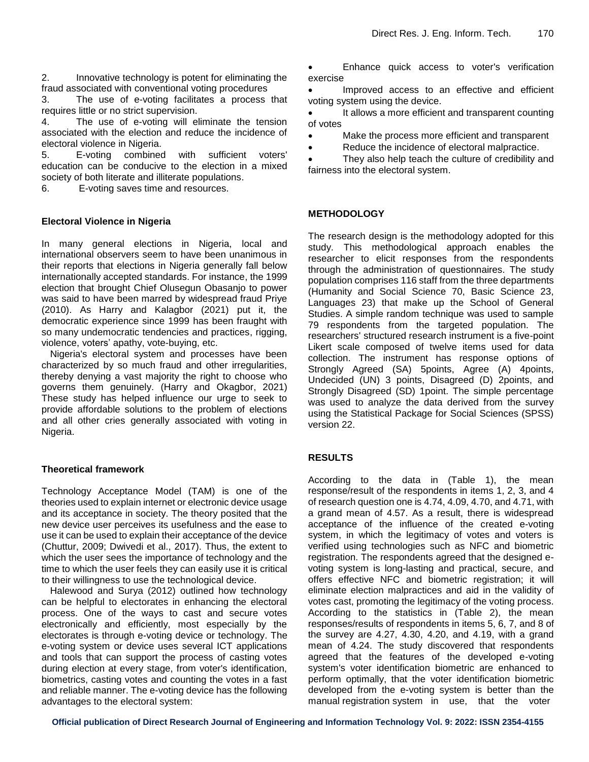2. Innovative technology is potent for eliminating the fraud associated with conventional voting procedures

3. The use of e-voting facilitates a process that requires little or no strict supervision.

4. The use of e-voting will eliminate the tension associated with the election and reduce the incidence of electoral violence in Nigeria.

5. E-voting combined with sufficient voters' education can be conducive to the election in a mixed society of both literate and illiterate populations.

6. E-voting saves time and resources.

#### **Electoral Violence in Nigeria**

In many general elections in Nigeria, local and international observers seem to have been unanimous in their reports that elections in Nigeria generally fall below internationally accepted standards. For instance, the 1999 election that brought Chief Olusegun Obasanjo to power was said to have been marred by widespread fraud Priye (2010). As Harry and Kalagbor (2021) put it, the democratic experience since 1999 has been fraught with so many undemocratic tendencies and practices, rigging, violence, voters' apathy, vote-buying, etc.

Nigeria's electoral system and processes have been characterized by so much fraud and other irregularities, thereby denying a vast majority the right to choose who governs them genuinely. (Harry and Okagbor, 2021) These study has helped influence our urge to seek to provide affordable solutions to the problem of elections and all other cries generally associated with voting in Nigeria.

#### **Theoretical framework**

Technology Acceptance Model (TAM) is one of the theories used to explain internet or electronic device usage and its acceptance in society. The theory posited that the new device user perceives its usefulness and the ease to use it can be used to explain their acceptance of the device (Chuttur, 2009; Dwivedi et al., 2017). Thus, the extent to which the user sees the importance of technology and the time to which the user feels they can easily use it is critical to their willingness to use the technological device.

Halewood and Surya (2012) outlined how technology can be helpful to electorates in enhancing the electoral process. One of the ways to cast and secure votes electronically and efficiently, most especially by the electorates is through e-voting device or technology. The e-voting system or device uses several ICT applications and tools that can support the process of casting votes during election at every stage, from voter's identification, biometrics, casting votes and counting the votes in a fast and reliable manner. The e-voting device has the following advantages to the electoral system:

 Enhance quick access to voter's verification exercise

 Improved access to an effective and efficient voting system using the device.

 It allows a more efficient and transparent counting of votes

Make the process more efficient and transparent

• Reduce the incidence of electoral malpractice.

• They also help teach the culture of credibility and fairness into the electoral system.

#### **METHODOLOGY**

The research design is the methodology adopted for this study. This methodological approach enables the researcher to elicit responses from the respondents through the administration of questionnaires. The study population comprises 116 staff from the three departments (Humanity and Social Science 70, Basic Science 23, Languages 23) that make up the School of General Studies. A simple random technique was used to sample 79 respondents from the targeted population. The researchers' structured research instrument is a five-point Likert scale composed of twelve items used for data collection. The instrument has response options of Strongly Agreed (SA) 5points, Agree (A) 4points, Undecided (UN) 3 points, Disagreed (D) 2points, and Strongly Disagreed (SD) 1point. The simple percentage was used to analyze the data derived from the survey using the Statistical Package for Social Sciences (SPSS) version 22.

## **RESULTS**

According to the data in (Table 1), the mean response/result of the respondents in items 1, 2, 3, and 4 of research question one is 4.74, 4.09, 4.70, and 4.71, with a grand mean of 4.57. As a result, there is widespread acceptance of the influence of the created e-voting system, in which the legitimacy of votes and voters is verified using technologies such as NFC and biometric registration. The respondents agreed that the designed evoting system is long-lasting and practical, secure, and offers effective NFC and biometric registration; it will eliminate election malpractices and aid in the validity of votes cast, promoting the legitimacy of the voting process. According to the statistics in (Table 2), the mean responses/results of respondents in items 5, 6, 7, and 8 of the survey are 4.27, 4.30, 4.20, and 4.19, with a grand mean of 4.24. The study discovered that respondents agreed that the features of the developed e-voting system's voter identification biometric are enhanced to perform optimally, that the voter identification biometric developed from the e-voting system is better than the manual registration system in use, that the voter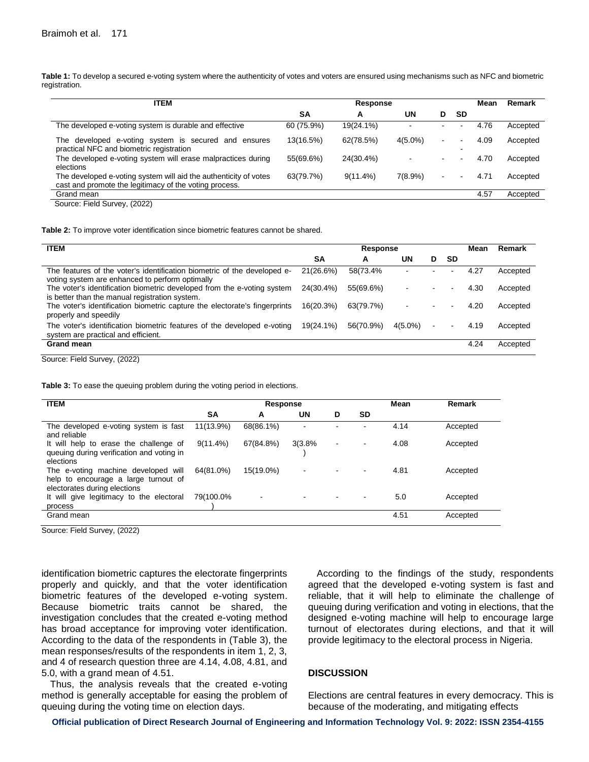**Table 1:** To develop a secured e-voting system where the authenticity of votes and voters are ensured using mechanisms such as NFC and biometric registration.

| <b>ITEM</b>                                                                                                                |            | Response    |                          |                |           |      | Remark   |
|----------------------------------------------------------------------------------------------------------------------------|------------|-------------|--------------------------|----------------|-----------|------|----------|
|                                                                                                                            | SΑ         | A           | UN                       | D              | <b>SD</b> |      |          |
| The developed e-voting system is durable and effective                                                                     | 60 (75.9%) | 19(24.1%)   |                          |                |           | 4.76 | Accepted |
| The developed e-voting system is secured and ensures<br>practical NFC and biometric registration                           | 13(16.5%)  | 62(78.5%)   | $4(5.0\%)$               |                |           | 4.09 | Accepted |
| The developed e-voting system will erase malpractices during<br>elections                                                  | 55(69.6%)  | 24(30.4%)   | $\overline{\phantom{0}}$ | $\blacksquare$ |           | 4.70 | Accepted |
| The developed e-voting system will aid the authenticity of votes<br>cast and promote the legitimacy of the voting process. | 63(79.7%)  | $9(11.4\%)$ | $7(8.9\%)$               | $\blacksquare$ |           | 4.71 | Accepted |
| Grand mean                                                                                                                 |            |             |                          |                |           | 4.57 | Accepted |
| Source: Field Survey (2022)                                                                                                |            |             |                          |                |           |      |          |

Source: Field Survey, (2022)

**Table 2:** To improve voter identification since biometric features cannot be shared.

| <b>ITEM</b>                                                                                                                 | Response  |           |            |   |    | Mean | Remark   |
|-----------------------------------------------------------------------------------------------------------------------------|-----------|-----------|------------|---|----|------|----------|
|                                                                                                                             | SΑ        | A         | UN         | D | SD |      |          |
| The features of the voter's identification biometric of the developed e-<br>voting system are enhanced to perform optimally | 21(26.6%) | 58(73.4%  |            |   |    | 4.27 | Accepted |
| The voter's identification biometric developed from the e-voting system<br>is better than the manual registration system.   | 24(30.4%) | 55(69.6%) |            |   |    | 4.30 | Accepted |
| The voter's identification biometric capture the electorate's fingerprints<br>properly and speedily                         | 16(20.3%) | 63(79.7%) |            |   |    | 4.20 | Accepted |
| The voter's identification biometric features of the developed e-voting<br>system are practical and efficient.              | 19(24.1%) | 56(70.9%) | $4(5.0\%)$ |   |    | 4.19 | Accepted |
| <b>Grand mean</b><br>$\sim$<br>-- - - -<br>(0.000)                                                                          |           |           |            |   |    | 4.24 | Accepted |

Source: Field Survey, (2022)

**Table 3:** To ease the queuing problem during the voting period in elections.

| <b>ITEM</b>                                                                                                 | <b>Response</b> |                          |                |   |                | Mean | Remark   |  |
|-------------------------------------------------------------------------------------------------------------|-----------------|--------------------------|----------------|---|----------------|------|----------|--|
|                                                                                                             | SΑ              | A                        | <b>UN</b>      | D | <b>SD</b>      |      |          |  |
| The developed e-voting system is fast<br>and reliable                                                       | 11(13.9%)       | 68(86.1%)                | $\blacksquare$ |   | -              | 4.14 | Accepted |  |
| It will help to erase the challenge of<br>queuing during verification and voting in<br>elections            | $9(11.4\%)$     | 67(84.8%)                | 3(3.8%         | ۰ | $\blacksquare$ | 4.08 | Accepted |  |
| The e-voting machine developed will<br>help to encourage a large turnout of<br>electorates during elections | 64(81.0%)       | 15(19.0%)                | $\blacksquare$ |   |                | 4.81 | Accepted |  |
| It will give legitimacy to the electoral<br>process                                                         | 79(100.0%       | $\overline{\phantom{a}}$ |                |   |                | 5.0  | Accepted |  |
| Grand mean                                                                                                  |                 |                          |                |   |                | 4.51 | Accepted |  |

Source: Field Survey, (2022)

identification biometric captures the electorate fingerprints properly and quickly, and that the voter identification biometric features of the developed e-voting system. Because biometric traits cannot be shared, the investigation concludes that the created e-voting method has broad acceptance for improving voter identification. According to the data of the respondents in (Table 3), the mean responses/results of the respondents in item 1, 2, 3, and 4 of research question three are 4.14, 4.08, 4.81, and 5.0, with a grand mean of 4.51.

Thus, the analysis reveals that the created e-voting method is generally acceptable for easing the problem of queuing during the voting time on election days.

According to the findings of the study, respondents agreed that the developed e-voting system is fast and reliable, that it will help to eliminate the challenge of queuing during verification and voting in elections, that the designed e-voting machine will help to encourage large turnout of electorates during elections, and that it will provide legitimacy to the electoral process in Nigeria.

#### **DISCUSSION**

Elections are central features in every democracy. This is because of the moderating, and mitigating effects

**Official publication of Direct Research Journal of Engineering and Information Technology Vol. 9: 2022: ISSN 2354-4155**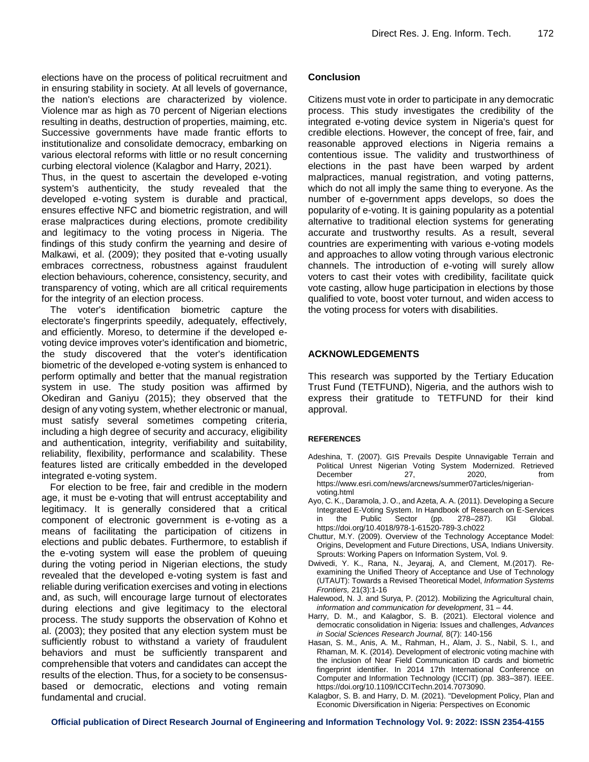elections have on the process of political recruitment and in ensuring stability in society. At all levels of governance, the nation's elections are characterized by violence. Violence mar as high as 70 percent of Nigerian elections resulting in deaths, destruction of properties, maiming, etc. Successive governments have made frantic efforts to institutionalize and consolidate democracy, embarking on various electoral reforms with little or no result concerning curbing electoral violence (Kalagbor and Harry, 2021).

Thus, in the quest to ascertain the developed e-voting system's authenticity, the study revealed that the developed e-voting system is durable and practical, ensures effective NFC and biometric registration, and will erase malpractices during elections, promote credibility and legitimacy to the voting process in Nigeria. The findings of this study confirm the yearning and desire of Malkawi, et al. (2009); they posited that e-voting usually embraces correctness, robustness against fraudulent election behaviours, coherence, consistency, security, and transparency of voting, which are all critical requirements for the integrity of an election process.

The voter's identification biometric capture the electorate's fingerprints speedily, adequately, effectively, and efficiently. Moreso, to determine if the developed evoting device improves voter's identification and biometric, the study discovered that the voter's identification biometric of the developed e-voting system is enhanced to perform optimally and better that the manual registration system in use. The study position was affirmed by Okediran and Ganiyu (2015); they observed that the design of any voting system, whether electronic or manual, must satisfy several sometimes competing criteria, including a high degree of security and accuracy, eligibility and authentication, integrity, verifiability and suitability, reliability, flexibility, performance and scalability. These features listed are critically embedded in the developed integrated e-voting system.

For election to be free, fair and credible in the modern age, it must be e-voting that will entrust acceptability and legitimacy. It is generally considered that a critical component of electronic government is e-voting as a means of facilitating the participation of citizens in elections and public debates. Furthermore, to establish if the e-voting system will ease the problem of queuing during the voting period in Nigerian elections, the study revealed that the developed e-voting system is fast and reliable during verification exercises and voting in elections and, as such, will encourage large turnout of electorates during elections and give legitimacy to the electoral process. The study supports the observation of Kohno et al. (2003); they posited that any election system must be sufficiently robust to withstand a variety of fraudulent behaviors and must be sufficiently transparent and comprehensible that voters and candidates can accept the results of the election. Thus, for a society to be consensusbased or democratic, elections and voting remain fundamental and crucial.

## **Conclusion**

Citizens must vote in order to participate in any democratic process. This study investigates the credibility of the integrated e-voting device system in Nigeria's quest for credible elections. However, the concept of free, fair, and reasonable approved elections in Nigeria remains a contentious issue. The validity and trustworthiness of elections in the past have been warped by ardent malpractices, manual registration, and voting patterns, which do not all imply the same thing to everyone. As the number of e-government apps develops, so does the popularity of e-voting. It is gaining popularity as a potential alternative to traditional election systems for generating accurate and trustworthy results. As a result, several countries are experimenting with various e-voting models and approaches to allow voting through various electronic channels. The introduction of e-voting will surely allow voters to cast their votes with credibility, facilitate quick vote casting, allow huge participation in elections by those qualified to vote, boost voter turnout, and widen access to the voting process for voters with disabilities.

## **ACKNOWLEDGEMENTS**

This research was supported by the Tertiary Education Trust Fund (TETFUND), Nigeria, and the authors wish to express their gratitude to TETFUND for their kind approval.

#### **REFERENCES**

- Adeshina, T. (2007). GIS Prevails Despite Unnavigable Terrain and Political Unrest Nigerian Voting System Modernized. Retrieved December 27, 2020, from https://www.esri.com/news/arcnews/summer07articles/nigerianvoting.html
- Ayo, C. K., Daramola, J. O., and Azeta, A. A. (2011). Developing a Secure Integrated E-Voting System. In Handbook of Research on E-Services in the Public Sector (pp. 278–287). IGI Global. <https://doi.org/10.4018/978-1-61520-789-3.ch022>
- Chuttur, M.Y. (2009). Overview of the Technology Acceptance Model: Origins, Development and Future Directions, USA, Indians University. Sprouts: Working Papers on Information System, Vol. 9.
- Dwivedi, Y. K., Rana, N., Jeyaraj, A, and Clement, M.(2017). Reexamining the Unified Theory of Acceptance and Use of Technology (UTAUT): Towards a Revised Theoretical Model, *[Information](https://www.researchgate.net/journal/Information-Systems-Frontiers-1572-9419) Systems [Frontiers,](https://www.researchgate.net/journal/Information-Systems-Frontiers-1572-9419)* 21(3):1-16
- Halewood, N. J. and Surya, P. (2012). Mobilizing the Agricultural chain, *information and communication for development*, 31 – 44.
- Harry, D. M., and Kalagbor, S. B. (2021). Electoral violence and democratic consolidation in Nigeria: Issues and challenges, *Advances in Social Sciences Research Journal,* 8(7): 140-156
- Hasan, S. M., Anis, A. M., Rahman, H., Alam, J. S., Nabil, S. I., and Rhaman, M. K. (2014). Development of electronic voting machine with the inclusion of Near Field Communication ID cards and biometric fingerprint identifier. In 2014 17th International Conference on Computer and Information Technology (ICCIT) (pp. 383–387). IEEE. https://doi.org/10.1109/ICCITechn.2014.7073090.
- Kalagbor, S. B. and Harry, D. M. (2021). "Development Policy, Plan and Economic Diversification in Nigeria: Perspectives on Economic